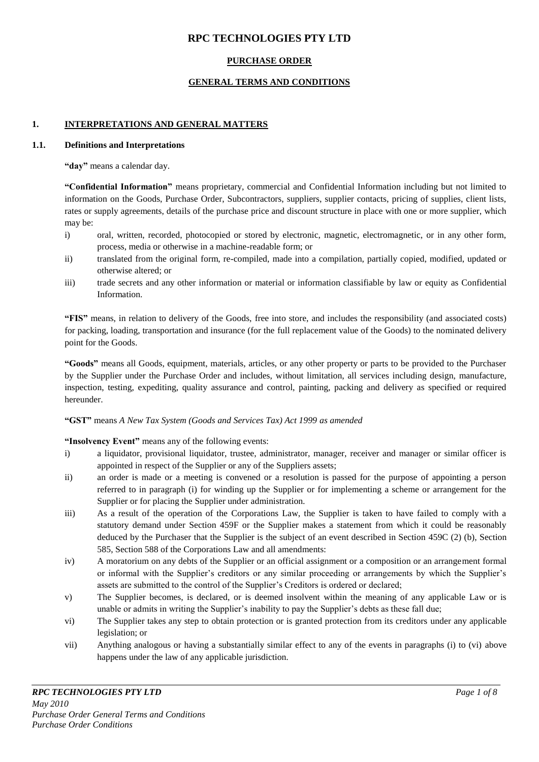# **RPC TECHNOLOGIES PTY LTD**

## **PURCHASE ORDER**

## **GENERAL TERMS AND CONDITIONS**

## **1. INTERPRETATIONS AND GENERAL MATTERS**

### **1.1. Definitions and Interpretations**

**"day"** means a calendar day.

**"Confidential Information"** means proprietary, commercial and Confidential Information including but not limited to information on the Goods, Purchase Order, Subcontractors, suppliers, supplier contacts, pricing of supplies, client lists, rates or supply agreements, details of the purchase price and discount structure in place with one or more supplier, which may be:

- i) oral, written, recorded, photocopied or stored by electronic, magnetic, electromagnetic, or in any other form, process, media or otherwise in a machine-readable form; or
- ii) translated from the original form, re-compiled, made into a compilation, partially copied, modified, updated or otherwise altered; or
- iii) trade secrets and any other information or material or information classifiable by law or equity as Confidential Information.

**"FIS"** means, in relation to delivery of the Goods, free into store, and includes the responsibility (and associated costs) for packing, loading, transportation and insurance (for the full replacement value of the Goods) to the nominated delivery point for the Goods.

**"Goods"** means all Goods, equipment, materials, articles, or any other property or parts to be provided to the Purchaser by the Supplier under the Purchase Order and includes, without limitation, all services including design, manufacture, inspection, testing, expediting, quality assurance and control, painting, packing and delivery as specified or required hereunder.

## **"GST"** means *A New Tax System (Goods and Services Tax) Act 1999 as amended*

#### **"Insolvency Event"** means any of the following events:

- i) a liquidator, provisional liquidator, trustee, administrator, manager, receiver and manager or similar officer is appointed in respect of the Supplier or any of the Suppliers assets;
- ii) an order is made or a meeting is convened or a resolution is passed for the purpose of appointing a person referred to in paragraph (i) for winding up the Supplier or for implementing a scheme or arrangement for the Supplier or for placing the Supplier under administration.
- iii) As a result of the operation of the Corporations Law, the Supplier is taken to have failed to comply with a statutory demand under Section 459F or the Supplier makes a statement from which it could be reasonably deduced by the Purchaser that the Supplier is the subject of an event described in Section 459C (2) (b), Section 585, Section 588 of the Corporations Law and all amendments:
- iv) A moratorium on any debts of the Supplier or an official assignment or a composition or an arrangement formal or informal with the Supplier"s creditors or any similar proceeding or arrangements by which the Supplier"s assets are submitted to the control of the Supplier's Creditors is ordered or declared;
- v) The Supplier becomes, is declared, or is deemed insolvent within the meaning of any applicable Law or is unable or admits in writing the Supplier's inability to pay the Supplier's debts as these fall due;
- vi) The Supplier takes any step to obtain protection or is granted protection from its creditors under any applicable legislation; or
- vii) Anything analogous or having a substantially similar effect to any of the events in paragraphs (i) to (vi) above happens under the law of any applicable jurisdiction.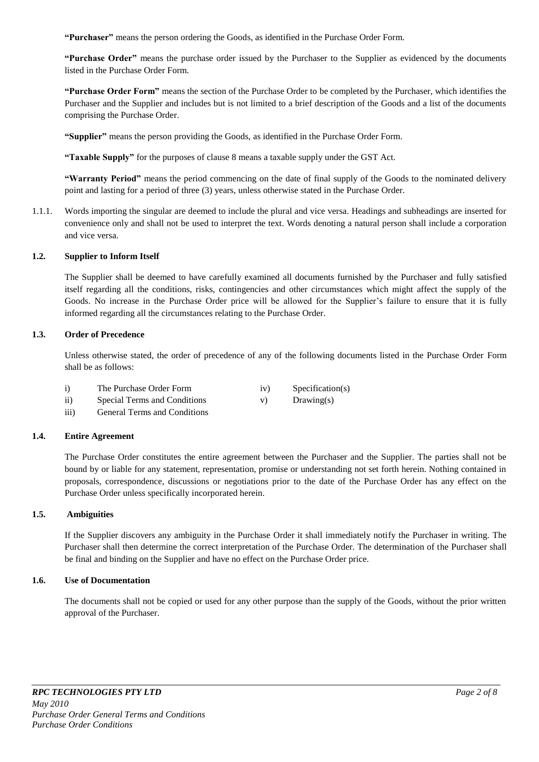**"Purchaser"** means the person ordering the Goods, as identified in the Purchase Order Form.

**"Purchase Order"** means the purchase order issued by the Purchaser to the Supplier as evidenced by the documents listed in the Purchase Order Form.

**"Purchase Order Form"** means the section of the Purchase Order to be completed by the Purchaser, which identifies the Purchaser and the Supplier and includes but is not limited to a brief description of the Goods and a list of the documents comprising the Purchase Order.

**"Supplier"** means the person providing the Goods, as identified in the Purchase Order Form.

**"Taxable Supply"** for the purposes of clause 8 means a taxable supply under the GST Act.

**"Warranty Period"** means the period commencing on the date of final supply of the Goods to the nominated delivery point and lasting for a period of three (3) years, unless otherwise stated in the Purchase Order.

1.1.1. Words importing the singular are deemed to include the plural and vice versa. Headings and subheadings are inserted for convenience only and shall not be used to interpret the text. Words denoting a natural person shall include a corporation and vice versa.

#### **1.2. Supplier to Inform Itself**

The Supplier shall be deemed to have carefully examined all documents furnished by the Purchaser and fully satisfied itself regarding all the conditions, risks, contingencies and other circumstances which might affect the supply of the Goods. No increase in the Purchase Order price will be allowed for the Supplier"s failure to ensure that it is fully informed regarding all the circumstances relating to the Purchase Order.

### **1.3. Order of Precedence**

Unless otherwise stated, the order of precedence of any of the following documents listed in the Purchase Order Form shall be as follows:

| The Purchase Order Form |  | Specification(s) |
|-------------------------|--|------------------|
|-------------------------|--|------------------|

- ii) Special Terms and Conditions v) Drawing(s)
- iii) General Terms and Conditions

#### **1.4. Entire Agreement**

The Purchase Order constitutes the entire agreement between the Purchaser and the Supplier. The parties shall not be bound by or liable for any statement, representation, promise or understanding not set forth herein. Nothing contained in proposals, correspondence, discussions or negotiations prior to the date of the Purchase Order has any effect on the Purchase Order unless specifically incorporated herein.

### **1.5. Ambiguities**

If the Supplier discovers any ambiguity in the Purchase Order it shall immediately notify the Purchaser in writing. The Purchaser shall then determine the correct interpretation of the Purchase Order. The determination of the Purchaser shall be final and binding on the Supplier and have no effect on the Purchase Order price.

### **1.6. Use of Documentation**

The documents shall not be copied or used for any other purpose than the supply of the Goods, without the prior written approval of the Purchaser.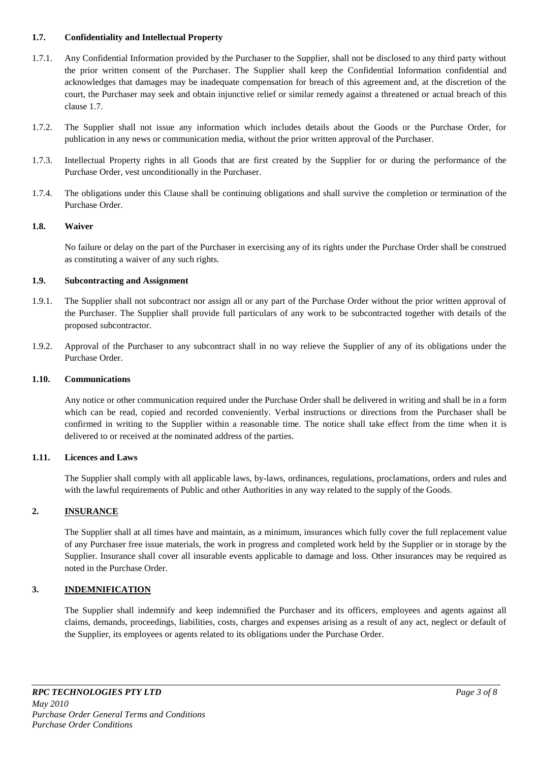### **1.7. Confidentiality and Intellectual Property**

- 1.7.1. Any Confidential Information provided by the Purchaser to the Supplier, shall not be disclosed to any third party without the prior written consent of the Purchaser. The Supplier shall keep the Confidential Information confidential and acknowledges that damages may be inadequate compensation for breach of this agreement and, at the discretion of the court, the Purchaser may seek and obtain injunctive relief or similar remedy against a threatened or actual breach of this clause 1.7.
- 1.7.2. The Supplier shall not issue any information which includes details about the Goods or the Purchase Order, for publication in any news or communication media, without the prior written approval of the Purchaser.
- 1.7.3. Intellectual Property rights in all Goods that are first created by the Supplier for or during the performance of the Purchase Order, vest unconditionally in the Purchaser.
- 1.7.4. The obligations under this Clause shall be continuing obligations and shall survive the completion or termination of the Purchase Order.

### **1.8. Waiver**

No failure or delay on the part of the Purchaser in exercising any of its rights under the Purchase Order shall be construed as constituting a waiver of any such rights.

### **1.9. Subcontracting and Assignment**

- 1.9.1. The Supplier shall not subcontract nor assign all or any part of the Purchase Order without the prior written approval of the Purchaser. The Supplier shall provide full particulars of any work to be subcontracted together with details of the proposed subcontractor.
- 1.9.2. Approval of the Purchaser to any subcontract shall in no way relieve the Supplier of any of its obligations under the Purchase Order.

#### **1.10. Communications**

Any notice or other communication required under the Purchase Order shall be delivered in writing and shall be in a form which can be read, copied and recorded conveniently. Verbal instructions or directions from the Purchaser shall be confirmed in writing to the Supplier within a reasonable time. The notice shall take effect from the time when it is delivered to or received at the nominated address of the parties.

#### **1.11. Licences and Laws**

The Supplier shall comply with all applicable laws, by-laws, ordinances, regulations, proclamations, orders and rules and with the lawful requirements of Public and other Authorities in any way related to the supply of the Goods.

## **2. INSURANCE**

The Supplier shall at all times have and maintain, as a minimum, insurances which fully cover the full replacement value of any Purchaser free issue materials, the work in progress and completed work held by the Supplier or in storage by the Supplier. Insurance shall cover all insurable events applicable to damage and loss. Other insurances may be required as noted in the Purchase Order.

## **3. INDEMNIFICATION**

The Supplier shall indemnify and keep indemnified the Purchaser and its officers, employees and agents against all claims, demands, proceedings, liabilities, costs, charges and expenses arising as a result of any act, neglect or default of the Supplier, its employees or agents related to its obligations under the Purchase Order.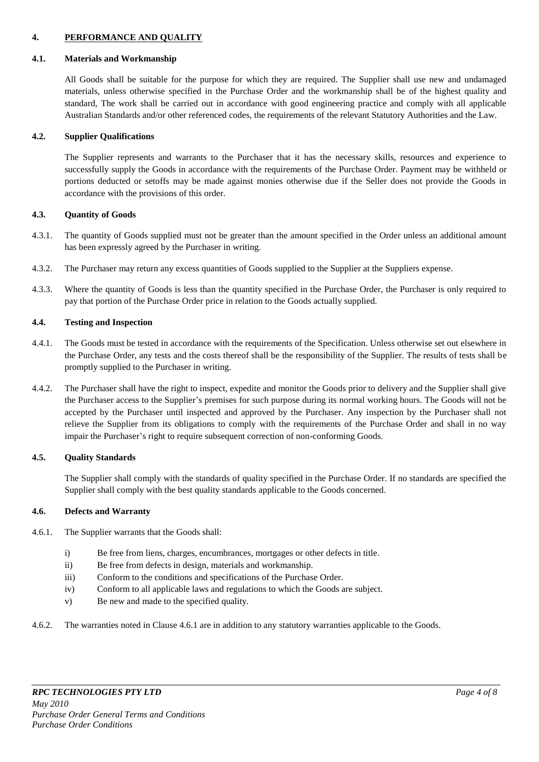### **4. PERFORMANCE AND QUALITY**

#### **4.1. Materials and Workmanship**

All Goods shall be suitable for the purpose for which they are required. The Supplier shall use new and undamaged materials, unless otherwise specified in the Purchase Order and the workmanship shall be of the highest quality and standard, The work shall be carried out in accordance with good engineering practice and comply with all applicable Australian Standards and/or other referenced codes, the requirements of the relevant Statutory Authorities and the Law.

#### **4.2. Supplier Qualifications**

The Supplier represents and warrants to the Purchaser that it has the necessary skills, resources and experience to successfully supply the Goods in accordance with the requirements of the Purchase Order. Payment may be withheld or portions deducted or setoffs may be made against monies otherwise due if the Seller does not provide the Goods in accordance with the provisions of this order.

### **4.3. Quantity of Goods**

- 4.3.1. The quantity of Goods supplied must not be greater than the amount specified in the Order unless an additional amount has been expressly agreed by the Purchaser in writing.
- 4.3.2. The Purchaser may return any excess quantities of Goods supplied to the Supplier at the Suppliers expense.
- 4.3.3. Where the quantity of Goods is less than the quantity specified in the Purchase Order, the Purchaser is only required to pay that portion of the Purchase Order price in relation to the Goods actually supplied.

#### **4.4. Testing and Inspection**

- 4.4.1. The Goods must be tested in accordance with the requirements of the Specification. Unless otherwise set out elsewhere in the Purchase Order, any tests and the costs thereof shall be the responsibility of the Supplier. The results of tests shall be promptly supplied to the Purchaser in writing.
- 4.4.2. The Purchaser shall have the right to inspect, expedite and monitor the Goods prior to delivery and the Supplier shall give the Purchaser access to the Supplier"s premises for such purpose during its normal working hours. The Goods will not be accepted by the Purchaser until inspected and approved by the Purchaser. Any inspection by the Purchaser shall not relieve the Supplier from its obligations to comply with the requirements of the Purchase Order and shall in no way impair the Purchaser's right to require subsequent correction of non-conforming Goods.

#### **4.5. Quality Standards**

The Supplier shall comply with the standards of quality specified in the Purchase Order. If no standards are specified the Supplier shall comply with the best quality standards applicable to the Goods concerned.

### **4.6. Defects and Warranty**

- 4.6.1. The Supplier warrants that the Goods shall:
	- i) Be free from liens, charges, encumbrances, mortgages or other defects in title.
	- ii) Be free from defects in design, materials and workmanship.
	- iii) Conform to the conditions and specifications of the Purchase Order.
	- iv) Conform to all applicable laws and regulations to which the Goods are subject.
	- v) Be new and made to the specified quality.
- 4.6.2. The warranties noted in Clause 4.6.1 are in addition to any statutory warranties applicable to the Goods.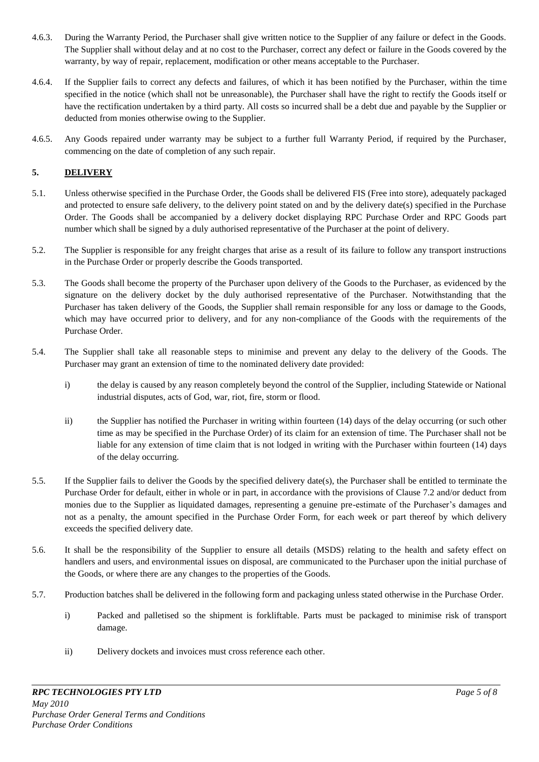- 4.6.3. During the Warranty Period, the Purchaser shall give written notice to the Supplier of any failure or defect in the Goods. The Supplier shall without delay and at no cost to the Purchaser, correct any defect or failure in the Goods covered by the warranty, by way of repair, replacement, modification or other means acceptable to the Purchaser.
- 4.6.4. If the Supplier fails to correct any defects and failures, of which it has been notified by the Purchaser, within the time specified in the notice (which shall not be unreasonable), the Purchaser shall have the right to rectify the Goods itself or have the rectification undertaken by a third party. All costs so incurred shall be a debt due and payable by the Supplier or deducted from monies otherwise owing to the Supplier.
- 4.6.5. Any Goods repaired under warranty may be subject to a further full Warranty Period, if required by the Purchaser, commencing on the date of completion of any such repair.

## **5. DELIVERY**

- 5.1. Unless otherwise specified in the Purchase Order, the Goods shall be delivered FIS (Free into store), adequately packaged and protected to ensure safe delivery, to the delivery point stated on and by the delivery date(s) specified in the Purchase Order. The Goods shall be accompanied by a delivery docket displaying RPC Purchase Order and RPC Goods part number which shall be signed by a duly authorised representative of the Purchaser at the point of delivery.
- 5.2. The Supplier is responsible for any freight charges that arise as a result of its failure to follow any transport instructions in the Purchase Order or properly describe the Goods transported.
- 5.3. The Goods shall become the property of the Purchaser upon delivery of the Goods to the Purchaser, as evidenced by the signature on the delivery docket by the duly authorised representative of the Purchaser. Notwithstanding that the Purchaser has taken delivery of the Goods, the Supplier shall remain responsible for any loss or damage to the Goods, which may have occurred prior to delivery, and for any non-compliance of the Goods with the requirements of the Purchase Order.
- 5.4. The Supplier shall take all reasonable steps to minimise and prevent any delay to the delivery of the Goods. The Purchaser may grant an extension of time to the nominated delivery date provided:
	- i) the delay is caused by any reason completely beyond the control of the Supplier, including Statewide or National industrial disputes, acts of God, war, riot, fire, storm or flood.
	- ii) the Supplier has notified the Purchaser in writing within fourteen (14) days of the delay occurring (or such other time as may be specified in the Purchase Order) of its claim for an extension of time. The Purchaser shall not be liable for any extension of time claim that is not lodged in writing with the Purchaser within fourteen (14) days of the delay occurring.
- 5.5. If the Supplier fails to deliver the Goods by the specified delivery date(s), the Purchaser shall be entitled to terminate the Purchase Order for default, either in whole or in part, in accordance with the provisions of Clause 7.2 and/or deduct from monies due to the Supplier as liquidated damages, representing a genuine pre-estimate of the Purchaser"s damages and not as a penalty, the amount specified in the Purchase Order Form, for each week or part thereof by which delivery exceeds the specified delivery date.
- 5.6. It shall be the responsibility of the Supplier to ensure all details (MSDS) relating to the health and safety effect on handlers and users, and environmental issues on disposal, are communicated to the Purchaser upon the initial purchase of the Goods, or where there are any changes to the properties of the Goods.
- 5.7. Production batches shall be delivered in the following form and packaging unless stated otherwise in the Purchase Order.
	- i) Packed and palletised so the shipment is forkliftable. Parts must be packaged to minimise risk of transport damage.
	- ii) Delivery dockets and invoices must cross reference each other.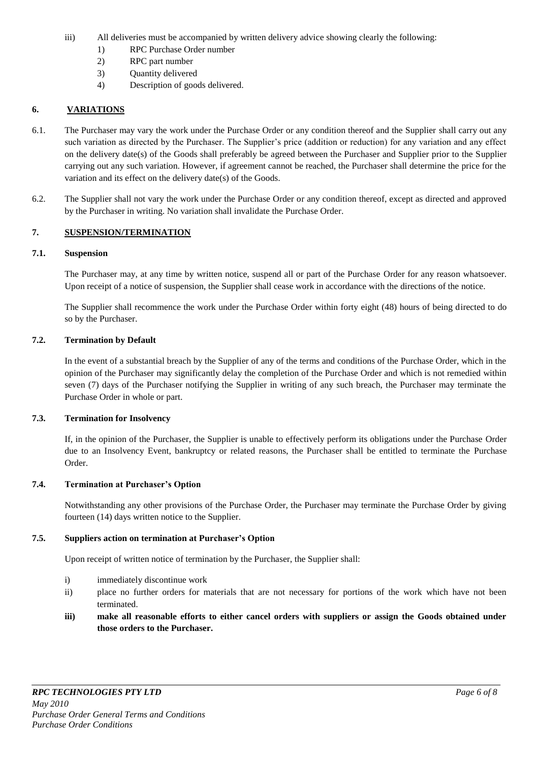- iii) All deliveries must be accompanied by written delivery advice showing clearly the following:
	- 1) RPC Purchase Order number
	- 2) RPC part number
	- 3) Quantity delivered
	- 4) Description of goods delivered.

## **6. VARIATIONS**

- 6.1. The Purchaser may vary the work under the Purchase Order or any condition thereof and the Supplier shall carry out any such variation as directed by the Purchaser. The Supplier's price (addition or reduction) for any variation and any effect on the delivery date(s) of the Goods shall preferably be agreed between the Purchaser and Supplier prior to the Supplier carrying out any such variation. However, if agreement cannot be reached, the Purchaser shall determine the price for the variation and its effect on the delivery date(s) of the Goods.
- 6.2. The Supplier shall not vary the work under the Purchase Order or any condition thereof, except as directed and approved by the Purchaser in writing. No variation shall invalidate the Purchase Order.

## **7. SUSPENSION/TERMINATION**

#### **7.1. Suspension**

The Purchaser may, at any time by written notice, suspend all or part of the Purchase Order for any reason whatsoever. Upon receipt of a notice of suspension, the Supplier shall cease work in accordance with the directions of the notice.

The Supplier shall recommence the work under the Purchase Order within forty eight (48) hours of being directed to do so by the Purchaser.

#### **7.2. Termination by Default**

In the event of a substantial breach by the Supplier of any of the terms and conditions of the Purchase Order, which in the opinion of the Purchaser may significantly delay the completion of the Purchase Order and which is not remedied within seven (7) days of the Purchaser notifying the Supplier in writing of any such breach, the Purchaser may terminate the Purchase Order in whole or part.

## **7.3. Termination for Insolvency**

If, in the opinion of the Purchaser, the Supplier is unable to effectively perform its obligations under the Purchase Order due to an Insolvency Event, bankruptcy or related reasons, the Purchaser shall be entitled to terminate the Purchase Order.

### **7.4. Termination at Purchaser's Option**

Notwithstanding any other provisions of the Purchase Order, the Purchaser may terminate the Purchase Order by giving fourteen (14) days written notice to the Supplier.

## **7.5. Suppliers action on termination at Purchaser's Option**

Upon receipt of written notice of termination by the Purchaser, the Supplier shall:

- i) immediately discontinue work
- ii) place no further orders for materials that are not necessary for portions of the work which have not been terminated.
- **iii) make all reasonable efforts to either cancel orders with suppliers or assign the Goods obtained under those orders to the Purchaser.**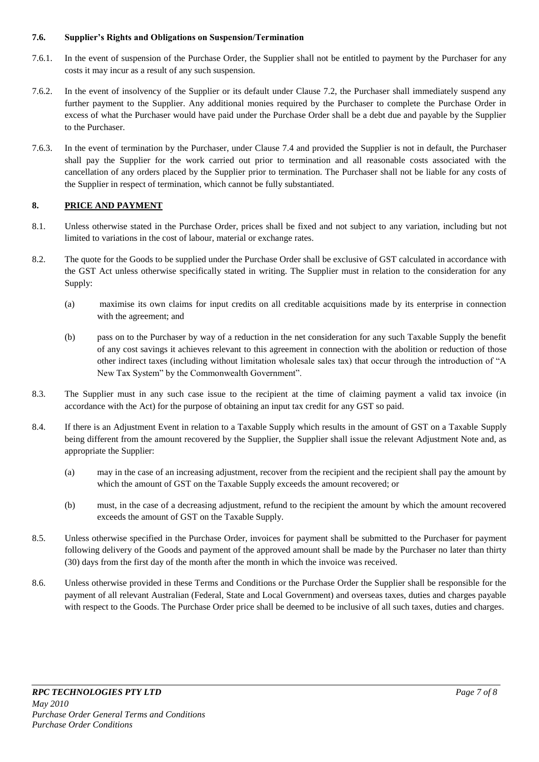### **7.6. Supplier's Rights and Obligations on Suspension/Termination**

- 7.6.1. In the event of suspension of the Purchase Order, the Supplier shall not be entitled to payment by the Purchaser for any costs it may incur as a result of any such suspension.
- 7.6.2. In the event of insolvency of the Supplier or its default under Clause 7.2, the Purchaser shall immediately suspend any further payment to the Supplier. Any additional monies required by the Purchaser to complete the Purchase Order in excess of what the Purchaser would have paid under the Purchase Order shall be a debt due and payable by the Supplier to the Purchaser.
- 7.6.3. In the event of termination by the Purchaser, under Clause 7.4 and provided the Supplier is not in default, the Purchaser shall pay the Supplier for the work carried out prior to termination and all reasonable costs associated with the cancellation of any orders placed by the Supplier prior to termination. The Purchaser shall not be liable for any costs of the Supplier in respect of termination, which cannot be fully substantiated.

## **8. PRICE AND PAYMENT**

- 8.1. Unless otherwise stated in the Purchase Order, prices shall be fixed and not subject to any variation, including but not limited to variations in the cost of labour, material or exchange rates.
- 8.2. The quote for the Goods to be supplied under the Purchase Order shall be exclusive of GST calculated in accordance with the GST Act unless otherwise specifically stated in writing. The Supplier must in relation to the consideration for any Supply:
	- (a) maximise its own claims for input credits on all creditable acquisitions made by its enterprise in connection with the agreement; and
	- (b) pass on to the Purchaser by way of a reduction in the net consideration for any such Taxable Supply the benefit of any cost savings it achieves relevant to this agreement in connection with the abolition or reduction of those other indirect taxes (including without limitation wholesale sales tax) that occur through the introduction of "A New Tax System" by the Commonwealth Government".
- 8.3. The Supplier must in any such case issue to the recipient at the time of claiming payment a valid tax invoice (in accordance with the Act) for the purpose of obtaining an input tax credit for any GST so paid.
- 8.4. If there is an Adjustment Event in relation to a Taxable Supply which results in the amount of GST on a Taxable Supply being different from the amount recovered by the Supplier, the Supplier shall issue the relevant Adjustment Note and, as appropriate the Supplier:
	- (a) may in the case of an increasing adjustment, recover from the recipient and the recipient shall pay the amount by which the amount of GST on the Taxable Supply exceeds the amount recovered; or
	- (b) must, in the case of a decreasing adjustment, refund to the recipient the amount by which the amount recovered exceeds the amount of GST on the Taxable Supply.
- 8.5. Unless otherwise specified in the Purchase Order, invoices for payment shall be submitted to the Purchaser for payment following delivery of the Goods and payment of the approved amount shall be made by the Purchaser no later than thirty (30) days from the first day of the month after the month in which the invoice was received.
- 8.6. Unless otherwise provided in these Terms and Conditions or the Purchase Order the Supplier shall be responsible for the payment of all relevant Australian (Federal, State and Local Government) and overseas taxes, duties and charges payable with respect to the Goods. The Purchase Order price shall be deemed to be inclusive of all such taxes, duties and charges.